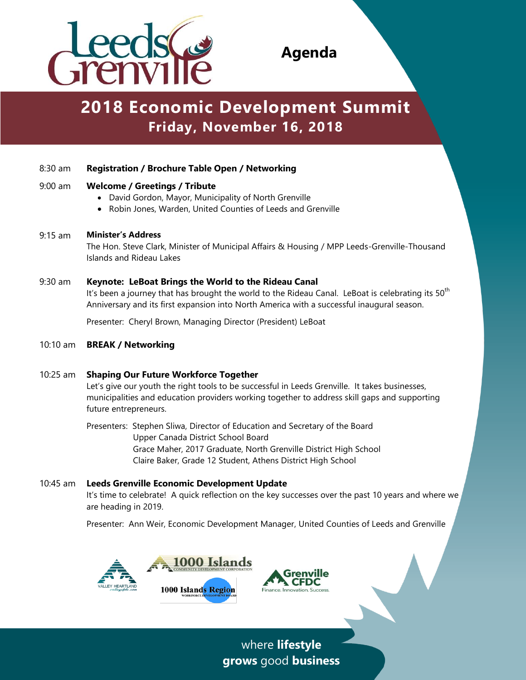

**Agenda**

# **2018 Economic Development Summit Friday, November 16, 2018** -

# 8:30 am **Registration / Brochure Table Open / Networking**

#### 9:00 am **Welcome / Greetings / Tribute**

- David Gordon, Mayor, Municipality of North Grenville
- Robin Jones, Warden, United Counties of Leeds and Grenville

#### 9:15 am **Minister's Address**

The Hon. Steve Clark, Minister of Municipal Affairs & Housing / MPP Leeds-Grenville-Thousand Islands and Rideau Lakes

## 9:30 am **Keynote: LeBoat Brings the World to the Rideau Canal**

It's been a journey that has brought the world to the Rideau Canal. LeBoat is celebrating its  $50<sup>th</sup>$ Anniversary and its first expansion into North America with a successful inaugural season.

Presenter: Cheryl Brown, Managing Director (President) LeBoat

10:10 am **BREAK / Networking** 

## 10:25 am **Shaping Our Future Workforce Together**

Let's give our youth the right tools to be successful in Leeds Grenville. It takes businesses, municipalities and education providers working together to address skill gaps and supporting future entrepreneurs.

Presenters: Stephen Sliwa, Director of Education and Secretary of the Board Upper Canada District School Board Grace Maher, 2017 Graduate, North Grenville District High School Claire Baker, Grade 12 Student, Athens District High School

#### 10:45 am **Leeds Grenville Economic Development Update**  It's time to celebrate! A quick reflection on the key successes over the past 10 years and where we are heading in 2019.

Presenter: Ann Weir, Economic Development Manager, United Counties of Leeds and Grenville





where **lifestyle grows** good **business**